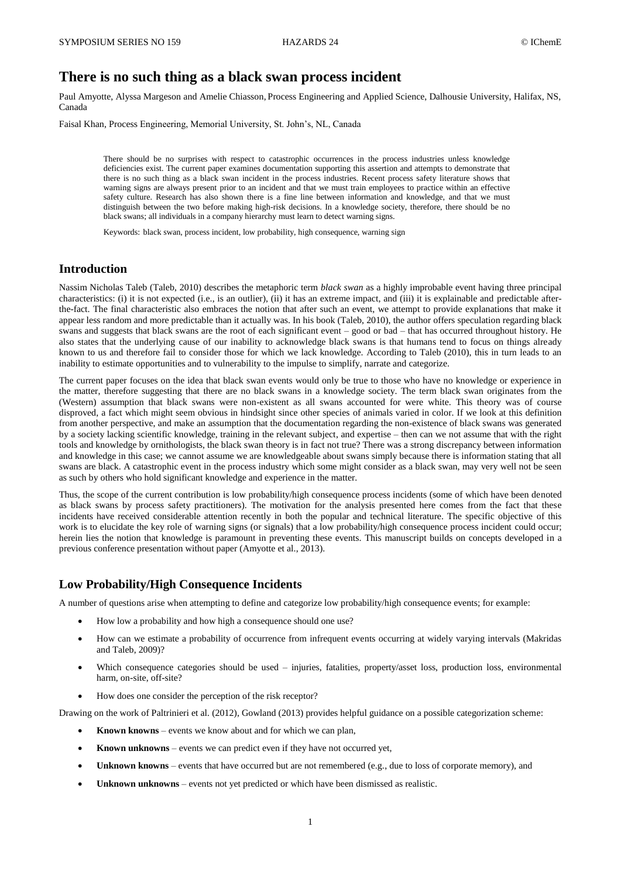# **There is no such thing as a black swan process incident**

Paul Amyotte, Alyssa Margeson and Amelie Chiasson, Process Engineering and Applied Science, Dalhousie University, Halifax, NS, Canada

Faisal Khan, Process Engineering, Memorial University, St. John's, NL, Canada

There should be no surprises with respect to catastrophic occurrences in the process industries unless knowledge deficiencies exist. The current paper examines documentation supporting this assertion and attempts to demonstrate that there is no such thing as a black swan incident in the process industries. Recent process safety literature shows that warning signs are always present prior to an incident and that we must train employees to practice within an effective safety culture. Research has also shown there is a fine line between information and knowledge, and that we must distinguish between the two before making high-risk decisions. In a knowledge society, therefore, there should be no black swans; all individuals in a company hierarchy must learn to detect warning signs.

Keywords: black swan, process incident, low probability, high consequence, warning sign

# **Introduction**

Nassim Nicholas Taleb (Taleb, 2010) describes the metaphoric term *black swan* as a highly improbable event having three principal characteristics: (i) it is not expected (i.e., is an outlier), (ii) it has an extreme impact, and (iii) it is explainable and predictable afterthe-fact. The final characteristic also embraces the notion that after such an event, we attempt to provide explanations that make it appear less random and more predictable than it actually was. In his book (Taleb, 2010), the author offers speculation regarding black swans and suggests that black swans are the root of each significant event – good or bad – that has occurred throughout history. He also states that the underlying cause of our inability to acknowledge black swans is that humans tend to focus on things already known to us and therefore fail to consider those for which we lack knowledge. According to Taleb (2010), this in turn leads to an inability to estimate opportunities and to vulnerability to the impulse to simplify, narrate and categorize.

The current paper focuses on the idea that black swan events would only be true to those who have no knowledge or experience in the matter, therefore suggesting that there are no black swans in a knowledge society. The term black swan originates from the (Western) assumption that black swans were non-existent as all swans accounted for were white. This theory was of course disproved, a fact which might seem obvious in hindsight since other species of animals varied in color. If we look at this definition from another perspective, and make an assumption that the documentation regarding the non-existence of black swans was generated by a society lacking scientific knowledge, training in the relevant subject, and expertise – then can we not assume that with the right tools and knowledge by ornithologists, the black swan theory is in fact not true? There was a strong discrepancy between information and knowledge in this case; we cannot assume we are knowledgeable about swans simply because there is information stating that all swans are black. A catastrophic event in the process industry which some might consider as a black swan, may very well not be seen as such by others who hold significant knowledge and experience in the matter.

Thus, the scope of the current contribution is low probability/high consequence process incidents (some of which have been denoted as black swans by process safety practitioners). The motivation for the analysis presented here comes from the fact that these incidents have received considerable attention recently in both the popular and technical literature. The specific objective of this work is to elucidate the key role of warning signs (or signals) that a low probability/high consequence process incident could occur; herein lies the notion that knowledge is paramount in preventing these events. This manuscript builds on concepts developed in a previous conference presentation without paper (Amyotte et al., 2013).

## **Low Probability/High Consequence Incidents**

A number of questions arise when attempting to define and categorize low probability/high consequence events; for example:

- How low a probability and how high a consequence should one use?
- How can we estimate a probability of occurrence from infrequent events occurring at widely varying intervals (Makridas and Taleb, 2009)?
- Which consequence categories should be used injuries, fatalities, property/asset loss, production loss, environmental harm, on-site, off-site?
- How does one consider the perception of the risk receptor?

Drawing on the work of Paltrinieri et al. (2012), Gowland (2013) provides helpful guidance on a possible categorization scheme:

- **Known knowns** events we know about and for which we can plan,
- **Known unknowns** events we can predict even if they have not occurred yet,
- **Unknown knowns** events that have occurred but are not remembered (e.g., due to loss of corporate memory), and
- **Unknown unknowns** events not yet predicted or which have been dismissed as realistic.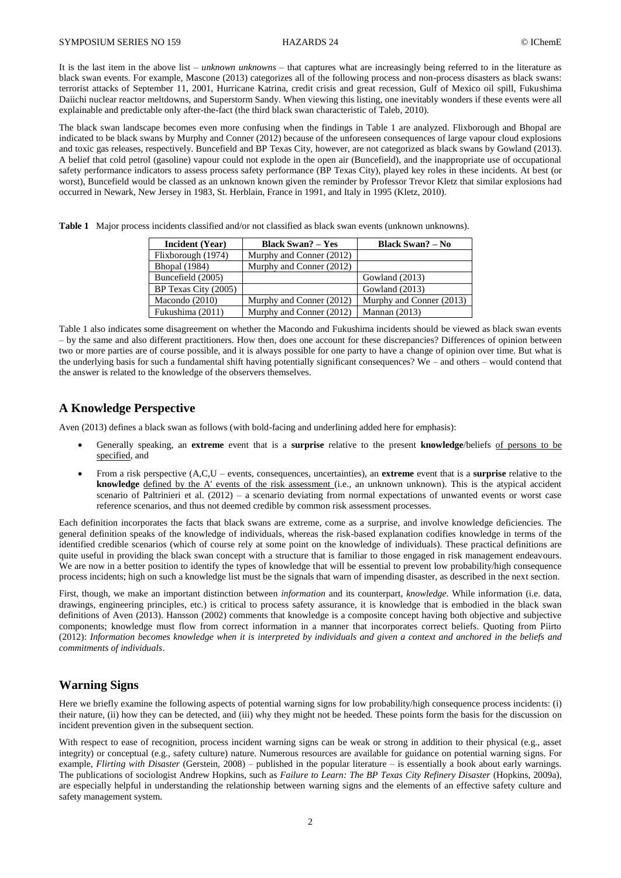It is the last item in the above list – *unknown unknowns* – that captures what are increasingly being referred to in the literature as black swan events. For example, Mascone (2013) categorizes all of the following process and non-process disasters as black swans: terrorist attacks of September 11, 2001, Hurricane Katrina, credit crisis and great recession, Gulf of Mexico oil spill, Fukushima Daiichi nuclear reactor meltdowns, and Superstorm Sandy. When viewing this listing, one inevitably wonders if these events were all explainable and predictable only after-the-fact (the third black swan characteristic of Taleb, 2010).

The black swan landscape becomes even more confusing when the findings in Table 1 are analyzed. Flixborough and Bhopal are indicated to be black swans by Murphy and Conner (2012) because of the unforeseen consequences of large vapour cloud explosions and toxic gas releases, respectively. Buncefield and BP Texas City, however, are not categorized as black swans by Gowland (2013). A belief that cold petrol (gasoline) vapour could not explode in the open air (Buncefield), and the inappropriate use of occupational safety performance indicators to assess process safety performance (BP Texas City), played key roles in these incidents. At best (or worst), Buncefield would be classed as an unknown known given the reminder by Professor Trevor Kletz that similar explosions had occurred in Newark, New Jersey in 1983, St. Herblain, France in 1991, and Italy in 1995 (Kletz, 2010).

**Table 1** Major process incidents classified and/or not classified as black swan events (unknown unknowns).

| Incident (Year)      | <b>Black Swan?</b> – Yes | <b>Black Swan?</b> – No  |
|----------------------|--------------------------|--------------------------|
| Flixborough (1974)   | Murphy and Conner (2012) |                          |
| <b>Bhopal</b> (1984) | Murphy and Conner (2012) |                          |
| Buncefield (2005)    |                          | Gowland (2013)           |
| BP Texas City (2005) |                          | Gowland (2013)           |
| Macondo (2010)       | Murphy and Conner (2012) | Murphy and Conner (2013) |
| Fukushima (2011)     | Murphy and Conner (2012) | Mannan $(2013)$          |

Table 1 also indicates some disagreement on whether the Macondo and Fukushima incidents should be viewed as black swan events – by the same and also different practitioners. How then, does one account for these discrepancies? Differences of opinion between two or more parties are of course possible, and it is always possible for one party to have a change of opinion over time. But what is the underlying basis for such a fundamental shift having potentially significant consequences? We – and others – would contend that the answer is related to the knowledge of the observers themselves.

## **A Knowledge Perspective**

Aven (2013) defines a black swan as follows (with bold-facing and underlining added here for emphasis):

- Generally speaking, an **extreme** event that is a **surprise** relative to the present **knowledge**/beliefs of persons to be specified, and
- From a risk perspective (A,C,U events, consequences, uncertainties), an **extreme** event that is a **surprise** relative to the **knowledge** defined by the A' events of the risk assessment (i.e., an unknown unknown). This is the atypical accident scenario of Paltrinieri et al. (2012) – a scenario deviating from normal expectations of unwanted events or worst case reference scenarios, and thus not deemed credible by common risk assessment processes.

Each definition incorporates the facts that black swans are extreme, come as a surprise, and involve knowledge deficiencies. The general definition speaks of the knowledge of individuals, whereas the risk-based explanation codifies knowledge in terms of the identified credible scenarios (which of course rely at some point on the knowledge of individuals). These practical definitions are quite useful in providing the black swan concept with a structure that is familiar to those engaged in risk management endeavours. We are now in a better position to identify the types of knowledge that will be essential to prevent low probability/high consequence process incidents; high on such a knowledge list must be the signals that warn of impending disaster, as described in the next section.

First, though, we make an important distinction between *information* and its counterpart, *knowledge*. While information (i.e. data, drawings, engineering principles, etc.) is critical to process safety assurance, it is knowledge that is embodied in the black swan definitions of Aven (2013). Hansson (2002) comments that knowledge is a composite concept having both objective and subjective components; knowledge must flow from correct information in a manner that incorporates correct beliefs. Quoting from Piirto (2012): *Information becomes knowledge when it is interpreted by individuals and given a context and anchored in the beliefs and commitments of individuals*.

## **Warning Signs**

Here we briefly examine the following aspects of potential warning signs for low probability/high consequence process incidents: (i) their nature, (ii) how they can be detected, and (iii) why they might not be heeded. These points form the basis for the discussion on incident prevention given in the subsequent section.

With respect to ease of recognition, process incident warning signs can be weak or strong in addition to their physical (e.g., asset integrity) or conceptual (e.g., safety culture) nature. Numerous resources are available for guidance on potential warning signs. For example, *Flirting with Disaster* (Gerstein, 2008) – published in the popular literature – is essentially a book about early warnings. The publications of sociologist Andrew Hopkins, such as *Failure to Learn: The BP Texas City Refinery Disaster* (Hopkins, 2009a), are especially helpful in understanding the relationship between warning signs and the elements of an effective safety culture and safety management system.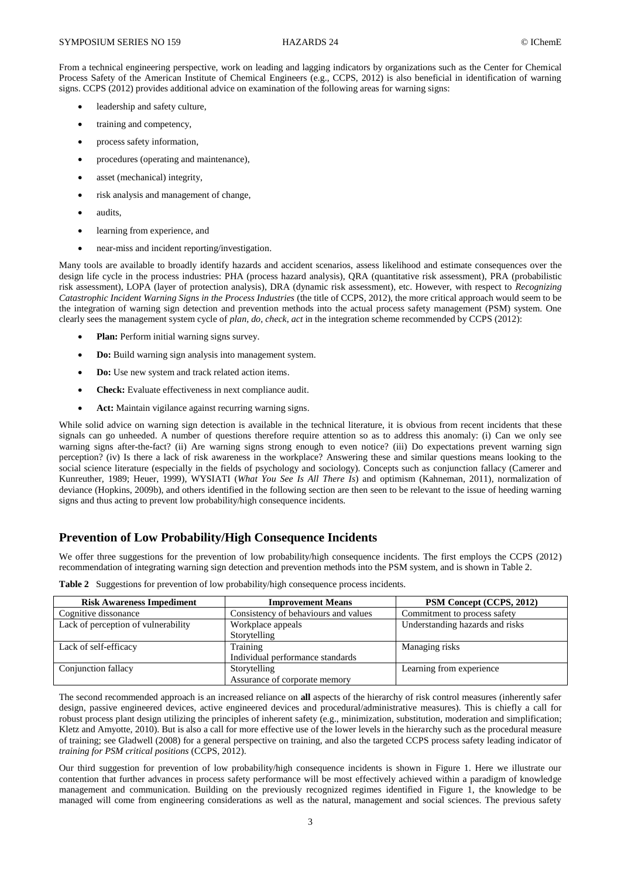From a technical engineering perspective, work on leading and lagging indicators by organizations such as the Center for Chemical Process Safety of the American Institute of Chemical Engineers (e.g., CCPS, 2012) is also beneficial in identification of warning signs. CCPS (2012) provides additional advice on examination of the following areas for warning signs:

- leadership and safety culture,
- training and competency,
- process safety information,
- procedures (operating and maintenance),
- asset (mechanical) integrity,
- risk analysis and management of change,
- audits,
- learning from experience, and
- near-miss and incident reporting/investigation.

Many tools are available to broadly identify hazards and accident scenarios, assess likelihood and estimate consequences over the design life cycle in the process industries: PHA (process hazard analysis), QRA (quantitative risk assessment), PRA (probabilistic risk assessment), LOPA (layer of protection analysis), DRA (dynamic risk assessment), etc. However, with respect to *Recognizing Catastrophic Incident Warning Signs in the Process Industries* (the title of CCPS, 2012), the more critical approach would seem to be the integration of warning sign detection and prevention methods into the actual process safety management (PSM) system. One clearly sees the management system cycle of *plan, do, check, act* in the integration scheme recommended by CCPS (2012):

- **Plan:** Perform initial warning signs survey.
- **Do:** Build warning sign analysis into management system.
- **Do:** Use new system and track related action items.
- **Check:** Evaluate effectiveness in next compliance audit.
- **Act:** Maintain vigilance against recurring warning signs.

While solid advice on warning sign detection is available in the technical literature, it is obvious from recent incidents that these signals can go unheeded. A number of questions therefore require attention so as to address this anomaly: (i) Can we only see warning signs after-the-fact? (ii) Are warning signs strong enough to even notice? (iii) Do expectations prevent warning sign perception? (iv) Is there a lack of risk awareness in the workplace? Answering these and similar questions means looking to the social science literature (especially in the fields of psychology and sociology). Concepts such as conjunction fallacy (Camerer and Kunreuther, 1989; Heuer, 1999), WYSIATI (*What You See Is All There Is*) and optimism (Kahneman, 2011), normalization of deviance (Hopkins, 2009b), and others identified in the following section are then seen to be relevant to the issue of heeding warning signs and thus acting to prevent low probability/high consequence incidents.

### **Prevention of Low Probability/High Consequence Incidents**

We offer three suggestions for the prevention of low probability/high consequence incidents. The first employs the CCPS (2012) recommendation of integrating warning sign detection and prevention methods into the PSM system, and is shown in Table 2.

| <b>Risk Awareness Impediment</b>    | <b>Improvement Means</b>                      | PSM Concept (CCPS, 2012)        |
|-------------------------------------|-----------------------------------------------|---------------------------------|
| Cognitive dissonance                | Consistency of behaviours and values          | Commitment to process safety    |
| Lack of perception of vulnerability | Workplace appeals<br>Storytelling             | Understanding hazards and risks |
| Lack of self-efficacy               | Training<br>Individual performance standards  | Managing risks                  |
| Conjunction fallacy                 | Storytelling<br>Assurance of corporate memory | Learning from experience        |

**Table 2** Suggestions for prevention of low probability/high consequence process incidents.

The second recommended approach is an increased reliance on **all** aspects of the hierarchy of risk control measures (inherently safer design, passive engineered devices, active engineered devices and procedural/administrative measures). This is chiefly a call for robust process plant design utilizing the principles of inherent safety (e.g., minimization, substitution, moderation and simplification; Kletz and Amyotte, 2010). But is also a call for more effective use of the lower levels in the hierarchy such as the procedural measure of training; see Gladwell (2008) for a general perspective on training, and also the targeted CCPS process safety leading indicator of *training for PSM critical positions* (CCPS, 2012).

Our third suggestion for prevention of low probability/high consequence incidents is shown in Figure 1. Here we illustrate our contention that further advances in process safety performance will be most effectively achieved within a paradigm of knowledge management and communication. Building on the previously recognized regimes identified in Figure 1, the knowledge to be managed will come from engineering considerations as well as the natural, management and social sciences. The previous safety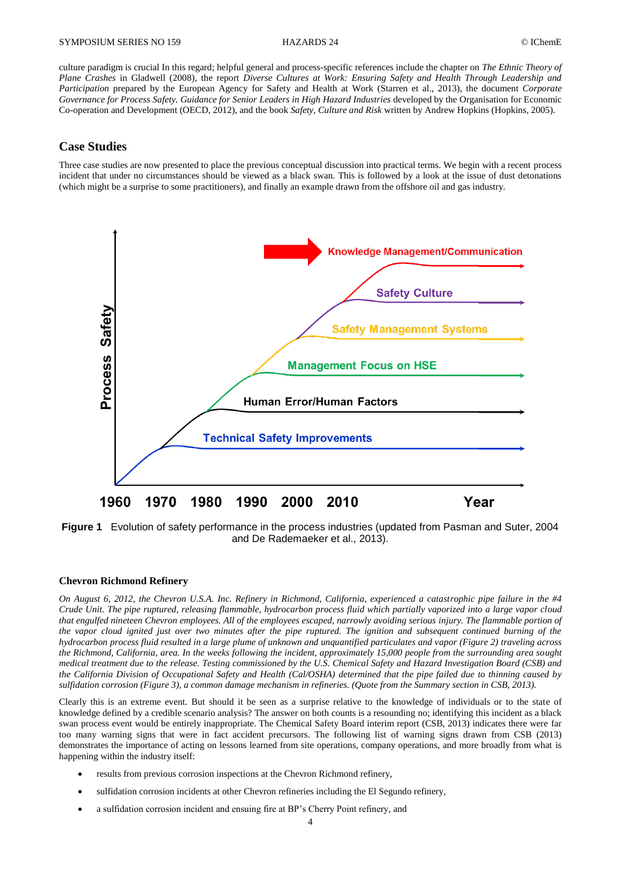culture paradigm is crucial In this regard; helpful general and process-specific references include the chapter on *The Ethnic Theory of Plane Crashes* in Gladwell (2008), the report *Diverse Cultures at Work: Ensuring Safety and Health Through Leadership and Participation* prepared by the European Agency for Safety and Health at Work (Starren et al., 2013), the document *Corporate Governance for Process Safety. Guidance for Senior Leaders in High Hazard Industries* developed by the Organisation for Economic Co-operation and Development (OECD, 2012), and the book *Safety, Culture and Risk* written by Andrew Hopkins (Hopkins, 2005).

## **Case Studies**

Three case studies are now presented to place the previous conceptual discussion into practical terms. We begin with a recent process incident that under no circumstances should be viewed as a black swan. This is followed by a look at the issue of dust detonations (which might be a surprise to some practitioners), and finally an example drawn from the offshore oil and gas industry.



**Figure 1** Evolution of safety performance in the process industries (updated from Pasman and Suter, 2004 and De Rademaeker et al., 2013).

#### **Chevron Richmond Refinery**

*On August 6, 2012, the Chevron U.S.A. Inc. Refinery in Richmond, California, experienced a catastrophic pipe failure in the #4 Crude Unit. The pipe ruptured, releasing flammable, hydrocarbon process fluid which partially vaporized into a large vapor cloud that engulfed nineteen Chevron employees. All of the employees escaped, narrowly avoiding serious injury. The flammable portion of the vapor cloud ignited just over two minutes after the pipe ruptured. The ignition and subsequent continued burning of the hydrocarbon process fluid resulted in a large plume of unknown and unquantified particulates and vapor (Figure 2) traveling across the Richmond, California, area. In the weeks following the incident, approximately 15,000 people from the surrounding area sought medical treatment due to the release. Testing commissioned by the U.S. Chemical Safety and Hazard Investigation Board (CSB) and the California Division of Occupational Safety and Health (Cal/OSHA) determined that the pipe failed due to thinning caused by sulfidation corrosion (Figure 3), a common damage mechanism in refineries. (Quote from the Summary section in CSB, 2013).*

Clearly this is an extreme event. But should it be seen as a surprise relative to the knowledge of individuals or to the state of knowledge defined by a credible scenario analysis? The answer on both counts is a resounding no; identifying this incident as a black swan process event would be entirely inappropriate. The Chemical Safety Board interim report (CSB, 2013) indicates there were far too many warning signs that were in fact accident precursors. The following list of warning signs drawn from CSB (2013) demonstrates the importance of acting on lessons learned from site operations, company operations, and more broadly from what is happening within the industry itself:

- results from previous corrosion inspections at the Chevron Richmond refinery,
- sulfidation corrosion incidents at other Chevron refineries including the El Segundo refinery,
- a sulfidation corrosion incident and ensuing fire at BP's Cherry Point refinery, and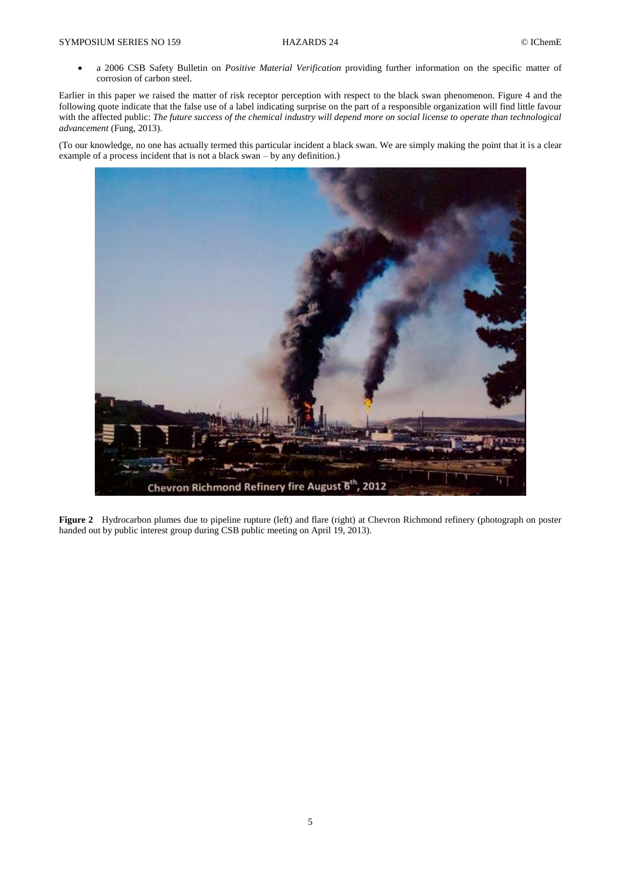a 2006 CSB Safety Bulletin on *Positive Material Verification* providing further information on the specific matter of corrosion of carbon steel.

Earlier in this paper we raised the matter of risk receptor perception with respect to the black swan phenomenon. Figure 4 and the following quote indicate that the false use of a label indicating surprise on the part of a responsible organization will find little favour with the affected public: *The future success of the chemical industry will depend more on social license to operate than technological advancement* (Fung, 2013).

(To our knowledge, no one has actually termed this particular incident a black swan. We are simply making the point that it is a clear example of a process incident that is not a black swan – by any definition.)



**Figure 2** Hydrocarbon plumes due to pipeline rupture (left) and flare (right) at Chevron Richmond refinery (photograph on poster handed out by public interest group during CSB public meeting on April 19, 2013).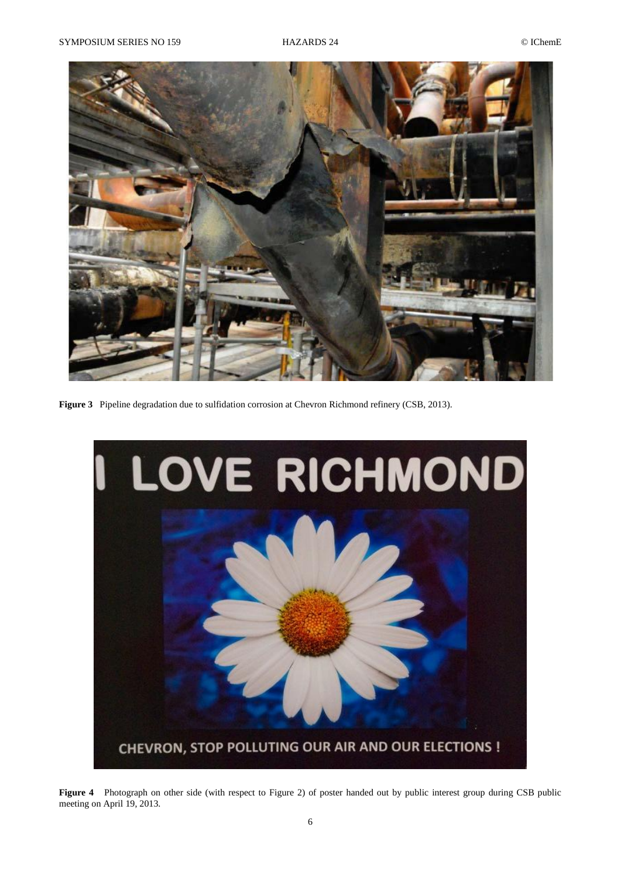

**Figure 3** Pipeline degradation due to sulfidation corrosion at Chevron Richmond refinery (CSB, 2013).



**Figure 4** Photograph on other side (with respect to Figure 2) of poster handed out by public interest group during CSB public meeting on April 19, 2013.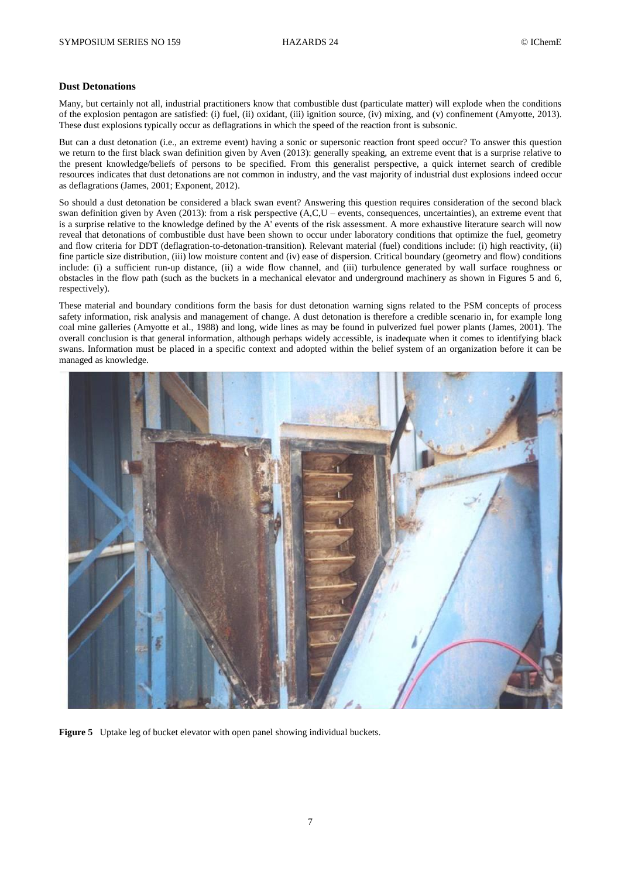#### **Dust Detonations**

Many, but certainly not all, industrial practitioners know that combustible dust (particulate matter) will explode when the conditions of the explosion pentagon are satisfied: (i) fuel, (ii) oxidant, (iii) ignition source, (iv) mixing, and (v) confinement (Amyotte, 2013). These dust explosions typically occur as deflagrations in which the speed of the reaction front is subsonic.

But can a dust detonation (i.e., an extreme event) having a sonic or supersonic reaction front speed occur? To answer this question we return to the first black swan definition given by Aven (2013): generally speaking, an extreme event that is a surprise relative to the present knowledge/beliefs of persons to be specified. From this generalist perspective, a quick internet search of credible resources indicates that dust detonations are not common in industry, and the vast majority of industrial dust explosions indeed occur as deflagrations (James, 2001; Exponent, 2012).

So should a dust detonation be considered a black swan event? Answering this question requires consideration of the second black swan definition given by Aven (2013): from a risk perspective (A,C,U – events, consequences, uncertainties), an extreme event that is a surprise relative to the knowledge defined by the A' events of the risk assessment. A more exhaustive literature search will now reveal that detonations of combustible dust have been shown to occur under laboratory conditions that optimize the fuel, geometry and flow criteria for DDT (deflagration-to-detonation-transition). Relevant material (fuel) conditions include: (i) high reactivity, (ii) fine particle size distribution, (iii) low moisture content and (iv) ease of dispersion. Critical boundary (geometry and flow) conditions include: (i) a sufficient run-up distance, (ii) a wide flow channel, and (iii) turbulence generated by wall surface roughness or obstacles in the flow path (such as the buckets in a mechanical elevator and underground machinery as shown in Figures 5 and 6, respectively).

These material and boundary conditions form the basis for dust detonation warning signs related to the PSM concepts of process safety information, risk analysis and management of change. A dust detonation is therefore a credible scenario in, for example long coal mine galleries (Amyotte et al., 1988) and long, wide lines as may be found in pulverized fuel power plants (James, 2001). The overall conclusion is that general information, although perhaps widely accessible, is inadequate when it comes to identifying black swans. Information must be placed in a specific context and adopted within the belief system of an organization before it can be managed as knowledge.



**Figure 5** Uptake leg of bucket elevator with open panel showing individual buckets.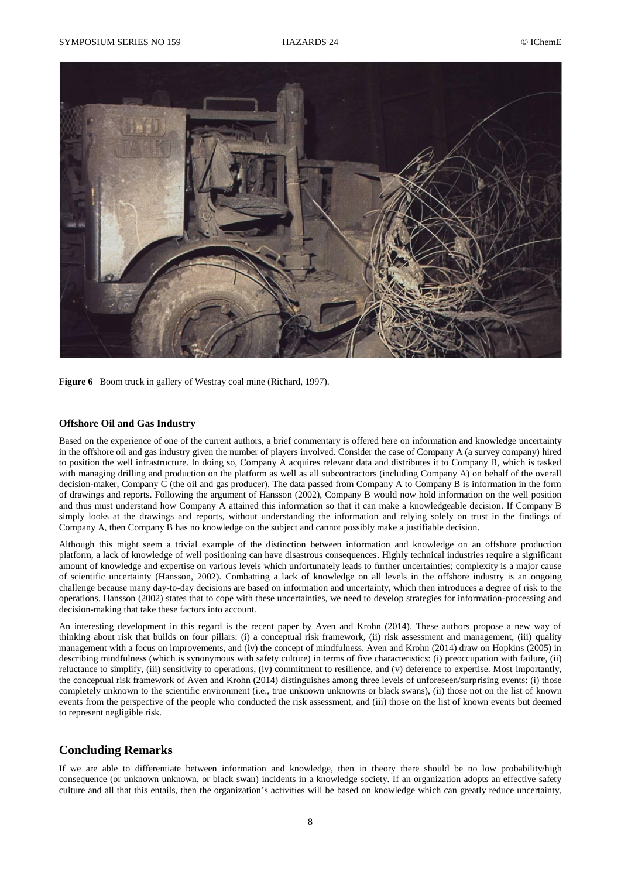

**Figure 6** Boom truck in gallery of Westray coal mine (Richard, 1997).

#### **Offshore Oil and Gas Industry**

Based on the experience of one of the current authors, a brief commentary is offered here on information and knowledge uncertainty in the offshore oil and gas industry given the number of players involved. Consider the case of Company A (a survey company) hired to position the well infrastructure. In doing so, Company A acquires relevant data and distributes it to Company B, which is tasked with managing drilling and production on the platform as well as all subcontractors (including Company A) on behalf of the overall decision-maker, Company C (the oil and gas producer). The data passed from Company A to Company B is information in the form of drawings and reports. Following the argument of Hansson (2002), Company B would now hold information on the well position and thus must understand how Company A attained this information so that it can make a knowledgeable decision. If Company B simply looks at the drawings and reports, without understanding the information and relying solely on trust in the findings of Company A, then Company B has no knowledge on the subject and cannot possibly make a justifiable decision.

Although this might seem a trivial example of the distinction between information and knowledge on an offshore production platform, a lack of knowledge of well positioning can have disastrous consequences. Highly technical industries require a significant amount of knowledge and expertise on various levels which unfortunately leads to further uncertainties; complexity is a major cause of scientific uncertainty (Hansson, 2002). Combatting a lack of knowledge on all levels in the offshore industry is an ongoing challenge because many day-to-day decisions are based on information and uncertainty, which then introduces a degree of risk to the operations. Hansson (2002) states that to cope with these uncertainties, we need to develop strategies for information-processing and decision-making that take these factors into account.

An interesting development in this regard is the recent paper by Aven and Krohn (2014). These authors propose a new way of thinking about risk that builds on four pillars: (i) a conceptual risk framework, (ii) risk assessment and management, (iii) quality management with a focus on improvements, and (iv) the concept of mindfulness. Aven and Krohn (2014) draw on Hopkins (2005) in describing mindfulness (which is synonymous with safety culture) in terms of five characteristics: (i) preoccupation with failure, (ii) reluctance to simplify, (iii) sensitivity to operations, (iv) commitment to resilience, and (v) deference to expertise. Most importantly, the conceptual risk framework of Aven and Krohn (2014) distinguishes among three levels of unforeseen/surprising events: (i) those completely unknown to the scientific environment (i.e., true unknown unknowns or black swans), (ii) those not on the list of known events from the perspective of the people who conducted the risk assessment, and (iii) those on the list of known events but deemed to represent negligible risk.

## **Concluding Remarks**

If we are able to differentiate between information and knowledge, then in theory there should be no low probability/high consequence (or unknown unknown, or black swan) incidents in a knowledge society. If an organization adopts an effective safety culture and all that this entails, then the organization's activities will be based on knowledge which can greatly reduce uncertainty,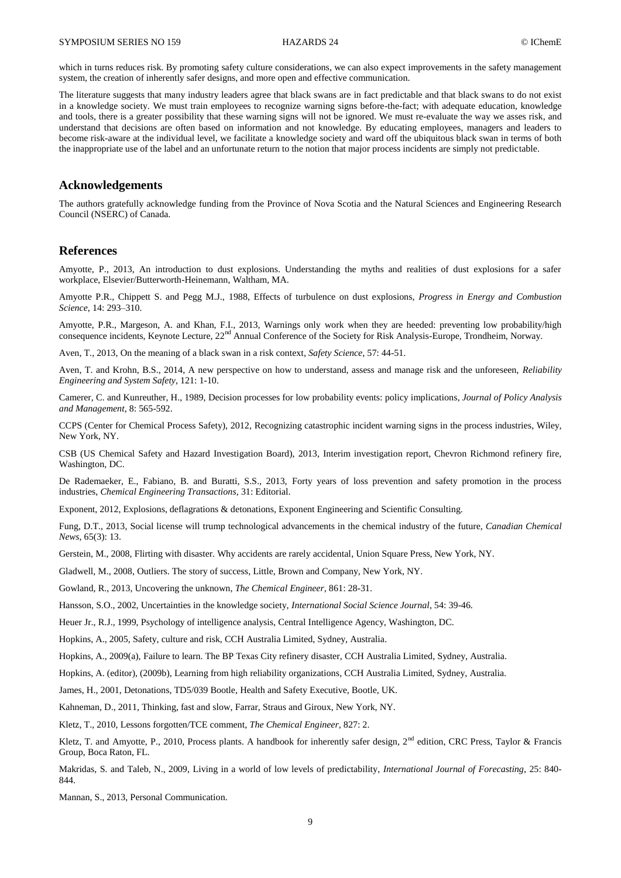which in turns reduces risk. By promoting safety culture considerations, we can also expect improvements in the safety management system, the creation of inherently safer designs, and more open and effective communication.

The literature suggests that many industry leaders agree that black swans are in fact predictable and that black swans to do not exist in a knowledge society. We must train employees to recognize warning signs before-the-fact; with adequate education, knowledge and tools, there is a greater possibility that these warning signs will not be ignored. We must re-evaluate the way we asses risk, and understand that decisions are often based on information and not knowledge. By educating employees, managers and leaders to become risk-aware at the individual level, we facilitate a knowledge society and ward off the ubiquitous black swan in terms of both the inappropriate use of the label and an unfortunate return to the notion that major process incidents are simply not predictable.

#### **Acknowledgements**

The authors gratefully acknowledge funding from the Province of Nova Scotia and the Natural Sciences and Engineering Research Council (NSERC) of Canada.

### **References**

Amyotte, P., 2013, An introduction to dust explosions. Understanding the myths and realities of dust explosions for a safer workplace, Elsevier/Butterworth-Heinemann, Waltham, MA.

Amyotte P.R., Chippett S. and Pegg M.J., 1988, Effects of turbulence on dust explosions, *Progress in Energy and Combustion Science*, 14: 293–310.

Amyotte, P.R., Margeson, A. and Khan, F.I., 2013, Warnings only work when they are heeded: preventing low probability/high consequence incidents, Keynote Lecture, 22nd Annual Conference of the Society for Risk Analysis-Europe, Trondheim, Norway.

Aven, T., 2013, On the meaning of a black swan in a risk context, *Safety Science*, 57: 44-51.

Aven, T. and Krohn, B.S., 2014, A new perspective on how to understand, assess and manage risk and the unforeseen, *Reliability Engineering and System Safety*, 121: 1-10.

Camerer, C. and Kunreuther, H., 1989, Decision processes for low probability events: policy implications, *Journal of Policy Analysis and Management*, 8: 565-592.

CCPS (Center for Chemical Process Safety), 2012, Recognizing catastrophic incident warning signs in the process industries, Wiley, New York, NY.

CSB (US Chemical Safety and Hazard Investigation Board), 2013, Interim investigation report, Chevron Richmond refinery fire, Washington, DC.

De Rademaeker, E., Fabiano, B. and Buratti, S.S., 2013, Forty years of loss prevention and safety promotion in the process industries, *Chemical Engineering Transactions*, 31: Editorial.

Exponent, 2012, Explosions, deflagrations & detonations, Exponent Engineering and Scientific Consulting.

Fung, D.T., 2013, Social license will trump technological advancements in the chemical industry of the future, *Canadian Chemical News*, 65(3): 13.

Gerstein, M., 2008, Flirting with disaster. Why accidents are rarely accidental, Union Square Press, New York, NY.

Gladwell, M., 2008, Outliers. The story of success, Little, Brown and Company, New York, NY.

Gowland, R., 2013, Uncovering the unknown, *The Chemical Engineer*, 861: 28-31.

Hansson, S.O., 2002, Uncertainties in the knowledge society, *International Social Science Journal*, 54: 39-46.

Heuer Jr., R.J., 1999, Psychology of intelligence analysis, Central Intelligence Agency, Washington, DC.

Hopkins, A., 2005, Safety, culture and risk, CCH Australia Limited, Sydney, Australia.

Hopkins, A., 2009(a), Failure to learn. The BP Texas City refinery disaster, CCH Australia Limited, Sydney, Australia.

Hopkins, A. (editor), (2009b), Learning from high reliability organizations, CCH Australia Limited, Sydney, Australia.

James, H., 2001, Detonations, TD5/039 Bootle, Health and Safety Executive, Bootle, UK.

Kahneman, D., 2011, Thinking, fast and slow, Farrar, Straus and Giroux, New York, NY.

Kletz, T., 2010, Lessons forgotten/TCE comment, *The Chemical Engineer*, 827: 2.

Kletz, T. and Amyotte, P., 2010, Process plants. A handbook for inherently safer design, 2<sup>nd</sup> edition, CRC Press, Taylor & Francis Group, Boca Raton, FL.

Makridas, S. and Taleb, N., 2009, Living in a world of low levels of predictability, *International Journal of Forecasting*, 25: 840- 844.

Mannan, S., 2013, Personal Communication.